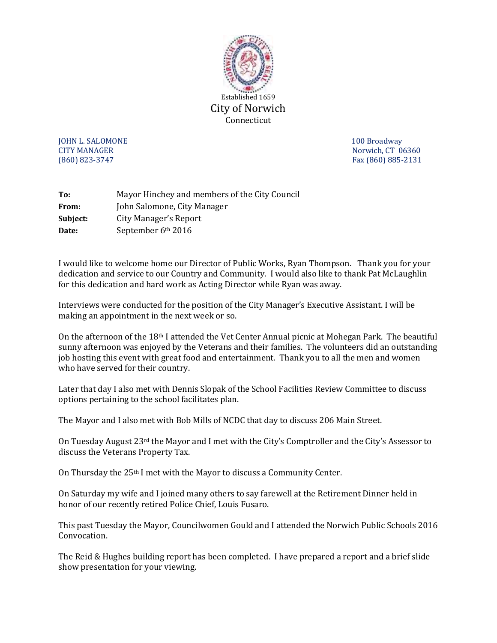

**JOHN L. SALOMONE** 2008 **100 Broadway** CITY MANAGER Norwich, CT 06360 (860) 823-3747 Fax (860) 885-2131

| To:      | Mayor Hinchey and members of the City Council |
|----------|-----------------------------------------------|
| From:    | John Salomone, City Manager                   |
| Subject: | City Manager's Report                         |
| Date:    | September 6th 2016                            |

I would like to welcome home our Director of Public Works, Ryan Thompson. Thank you for your dedication and service to our Country and Community. I would also like to thank Pat McLaughlin for this dedication and hard work as Acting Director while Ryan was away.

Interviews were conducted for the position of the City Manager's Executive Assistant. I will be making an appointment in the next week or so.

On the afternoon of the 18th I attended the Vet Center Annual picnic at Mohegan Park. The beautiful sunny afternoon was enjoyed by the Veterans and their families. The volunteers did an outstanding job hosting this event with great food and entertainment. Thank you to all the men and women who have served for their country.

Later that day I also met with Dennis Slopak of the School Facilities Review Committee to discuss options pertaining to the school facilitates plan.

The Mayor and I also met with Bob Mills of NCDC that day to discuss 206 Main Street.

On Tuesday August 23rd the Mayor and I met with the City's Comptroller and the City's Assessor to discuss the Veterans Property Tax.

On Thursday the 25th I met with the Mayor to discuss a Community Center.

On Saturday my wife and I joined many others to say farewell at the Retirement Dinner held in honor of our recently retired Police Chief, Louis Fusaro.

This past Tuesday the Mayor, Councilwomen Gould and I attended the Norwich Public Schools 2016 Convocation.

The Reid & Hughes building report has been completed. I have prepared a report and a brief slide show presentation for your viewing.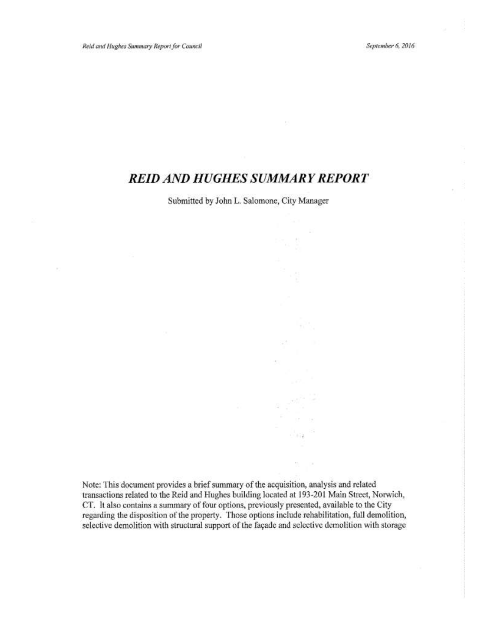September 6, 2016

# **REID AND HUGHES SUMMARY REPORT**

Submitted by John L. Salomone, City Manager

Note: This document provides a brief summary of the acquisition, analysis and related transactions related to the Reid and Hughes building located at 193-201 Main Street, Norwich, CT. It also contains a summary of four options, previously presented, available to the City regarding the disposition of the property. Those options include rehabilitation, full demolition, selective demolition with structural support of the façade and selective demolition with storage

 $\bar{\gamma}$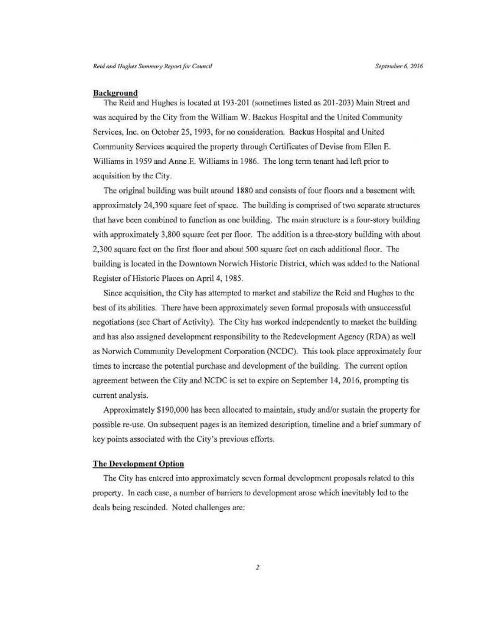### **Background**

The Reid and Hughes is located at 193-201 (sometimes listed as 201-203) Main Street and was acquired by the City from the William W. Backus Hospital and the United Community Services, Inc. on October 25, 1993, for no consideration. Backus Hospital and United Community Services acquired the property through Certificates of Devise from Ellen E. Williams in 1959 and Anne E. Williams in 1986. The long term tenant had left prior to acquisition by the City.

The original building was built around 1880 and consists of four floors and a basement with approximately 24,390 square feet of space. The building is comprised of two separate structures that have been combined to function as one building. The main structure is a four-story building with approximately 3,800 square feet per floor. The addition is a three-story building with about 2,300 square feet on the first floor and about 500 square feet on each additional floor. The building is located in the Downtown Norwich Historic District, which was added to the National Register of Historic Places on April 4, 1985.

Since acquisition, the City has attempted to market and stabilize the Reid and Hughes to the best of its abilities. There have been approximately seven formal proposals with unsuccessful negotiations (see Chart of Activity). The City has worked independently to market the building and has also assigned development responsibility to the Redevelopment Agency (RDA) as well as Norwich Community Development Corporation (NCDC). This took place approximately four times to increase the potential purchase and development of the building. The current option agreement between the City and NCDC is set to expire on September 14, 2016, prompting tis current analysis.

Approximately \$190,000 has been allocated to maintain, study and/or sustain the property for possible re-use. On subsequent pages is an itemized description, timeline and a brief summary of key points associated with the City's previous efforts.

# **The Development Option**

The City has entered into approximately seven formal development proposals related to this property. In each case, a number of barriers to development arose which inevitably led to the deals being rescinded. Noted challenges are: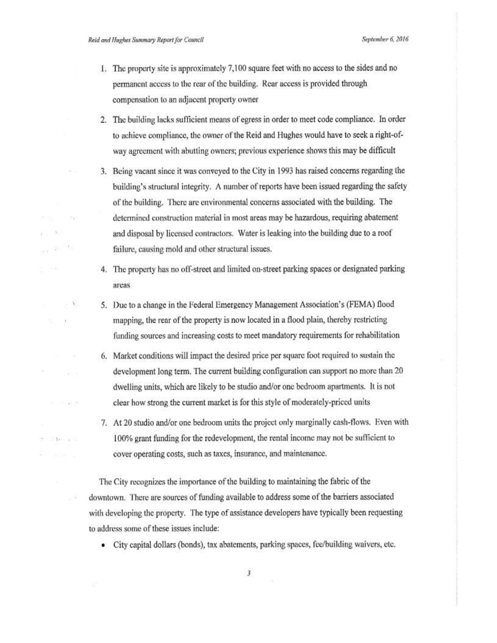$\rightarrow$ 

Website.

 $-14 - 1$ 

September 6, 2016

- 1. The property site is approximately 7,100 square feet with no access to the sides and no permanent access to the rear of the building. Rear access is provided through compensation to an adjacent property owner
- 2. The building lacks sufficient means of egress in order to meet code compliance. In order to achieve compliance, the owner of the Reid and Hughes would have to seek a right-ofway agreement with abutting owners; previous experience shows this may be difficult
- 3. Being vacant since it was conveyed to the City in 1993 has raised concerns regarding the building's structural integrity. A number of reports have been issued regarding the safety of the building. There are environmental concerns associated with the building. The determined construction material in most areas may be hazardous, requiring abatement and disposal by licensed contractors. Water is leaking into the building due to a roof failure, causing mold and other structural issues.
- 4. The property has no off-street and limited on-street parking spaces or designated parking areas
- 5. Due to a change in the Federal Emergency Management Association's (FEMA) flood mapping, the rear of the property is now located in a flood plain, thereby restricting funding sources and increasing costs to meet mandatory requirements for rehabilitation
- 6. Market conditions will impact the desired price per square foot required to sustain the development long term. The current building configuration can support no more than 20 dwelling units, which are likely to be studio and/or one bedroom apartments. It is not clear how strong the current market is for this style of moderately-priced units
- 7. At 20 studio and/or one bedroom units the project only marginally cash-flows. Even with 100% grant funding for the redevelopment, the rental income may not be sufficient to cover operating costs, such as taxes, insurance, and maintenance.

The City recognizes the importance of the building to maintaining the fabric of the downtown. There are sources of funding available to address some of the barriers associated with developing the property. The type of assistance developers have typically been requesting to address some of these issues include:

• City capital dollars (bonds), tax abatements, parking spaces, fee/building waivers, etc.

 $\overline{\mathbf{3}}$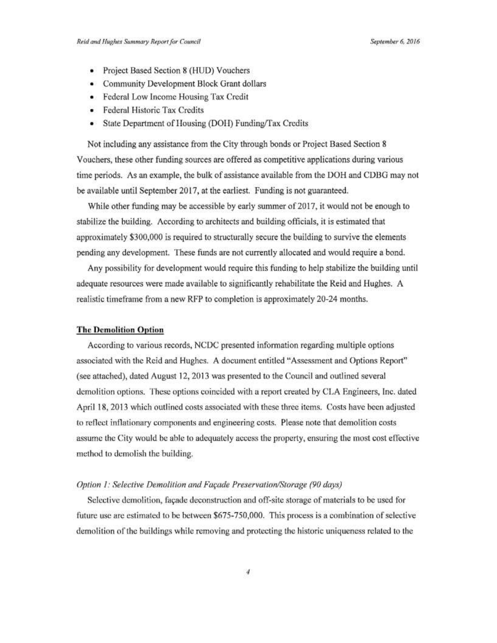- Project Based Section 8 (HUD) Vouchers
- Community Development Block Grant dollars
- Federal Low Income Housing Tax Credit
- Federal Historic Tax Credits
- State Department of Housing (DOH) Funding/Tax Credits

Not including any assistance from the City through bonds or Project Based Section 8 Vouchers, these other funding sources are offered as competitive applications during various time periods. As an example, the bulk of assistance available from the DOH and CDBG may not be available until September 2017, at the earliest. Funding is not guaranteed.

While other funding may be accessible by early summer of 2017, it would not be enough to stabilize the building. According to architects and building officials, it is estimated that approximately \$300,000 is required to structurally secure the building to survive the elements pending any development. These funds are not currently allocated and would require a bond.

Any possibility for development would require this funding to help stabilize the building until adequate resources were made available to significantly rehabilitate the Reid and Hughes. A realistic timeframe from a new RFP to completion is approximately 20-24 months.

#### **The Demolition Option**

According to various records, NCDC presented information regarding multiple options associated with the Reid and Hughes. A document entitled "Assessment and Options Report" (see attached), dated August 12, 2013 was presented to the Council and outlined several demolition options. These options coincided with a report created by CLA Engineers, Inc. dated April 18, 2013 which outlined costs associated with these three items. Costs have been adjusted to reflect inflationary components and engineering costs. Please note that demolition costs assume the City would be able to adequately access the property, ensuring the most cost effective method to demolish the building.

#### Option 1: Selective Demolition and Façade Preservation/Storage (90 days)

Selective demolition, façade deconstruction and off-site storage of materials to be used for future use are estimated to be between \$675-750,000. This process is a combination of selective demolition of the buildings while removing and protecting the historic uniqueness related to the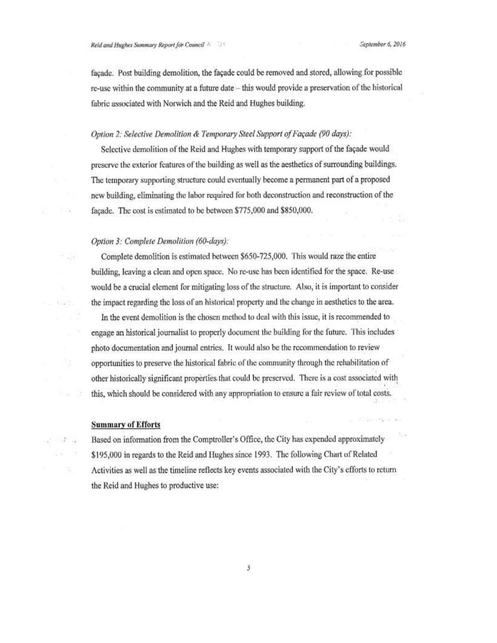facade. Post building demolition, the facade could be removed and stored, allowing for possible re-use within the community at a future date – this would provide a preservation of the historical fabric associated with Norwich and the Reid and Hughes building.

# Option 2: Selective Demolition & Temporary Steel Support of Façade (90 days):

Selective demolition of the Reid and Hughes with temporary support of the façade would preserve the exterior features of the building as well as the aesthetics of surrounding buildings. The temporary supporting structure could eventually become a permanent part of a proposed new building, eliminating the labor required for both deconstruction and reconstruction of the façade. The cost is estimated to be between \$775,000 and \$850,000.

#### Option 3: Complete Demolition (60-days):

92

402001

 $1 - 27$ 

Complete demolition is estimated between \$650-725,000. This would raze the entire building, leaving a clean and open space. No re-use has been identified for the space. Re-use would be a crucial element for mitigating loss of the structure. Also, it is important to consider the impact regarding the loss of an historical property and the change in aesthetics to the area.

In the event demolition is the chosen method to deal with this issue, it is recommended to engage an historical journalist to properly document the building for the future. This includes photo documentation and journal entries. It would also be the recommendation to review opportunities to preserve the historical fabric of the community through the rehabilitation of other historically significant properties that could be preserved. There is a cost associated with this, which should be considered with any appropriation to ensure a fair review of total costs.

#### **Summary of Efforts**

Based on information from the Comptroller's Office, the City has expended approximately \$195,000 in regards to the Reid and Hughes since 1993. The following Chart of Related Activities as well as the timeline reflects key events associated with the City's efforts to return the Reid and Hughes to productive use:

 $\mathcal{S}_{\mathcal{S}}$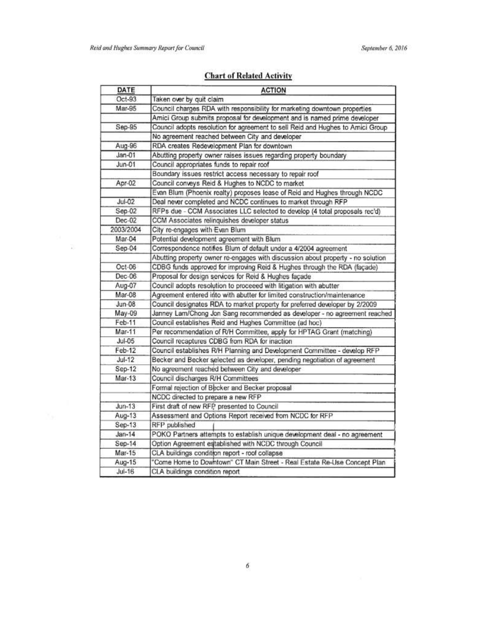$\sim 100$ 

# **Chart of Related Activity**

| DATE          | <b>ACTION</b>                                                                   |
|---------------|---------------------------------------------------------------------------------|
| $Oct-93$      | Taken over by quit claim                                                        |
| Mar-95        | Council charges RDA with responsibility for marketing downtown properties       |
|               | Amici Group submits proposal for development and is named prime developer       |
| Sep-95        | Council adopts resolution for agreement to sell Reid and Hughes to Amici Group  |
|               | No agreement reached between City and developer                                 |
| Aug-96        | RDA creates Redevelopment Plan for downtown                                     |
| $Jan-01$      | Abutting property owner raises issues regarding property boundary               |
| $Jun-01$      | Council appropriates funds to repair roof                                       |
|               | Boundary issues restrict access necessary to repair roof                        |
| Apr-02        | Council conveys Reid & Hughes to NCDC to market                                 |
|               | Evan Blum (Phoenix realty) proposes lease of Reid and Hughes through NCDC       |
| $JU1-02$      | Deal never completed and NCDC continues to market through RFP                   |
| Sep-02        | RFPs due - CCM Associates LLC selected to develop (4 total proposals rec'd)     |
| Dec-02        | CCM Associates relinquishes developer status                                    |
| 2003/2004     | City re-engages with Evan Blum                                                  |
| Mar-04        | Potential development agreement with Blum                                       |
| Sep-04        | Correspondence notifies Blum of default under a 4/2004 agreement                |
|               | Abutting property owner re-engages with discussion about property - no solution |
| Oct-06        | CDBG funds approved for improving Reid & Hughes through the RDA (façade)        |
| Dec-06        | Proposal for design services for Reid & Hughes façade                           |
| Aug-07        | Council adopts resolution to proceeed with litigation with abutter              |
| Mar-08        | Agreement entered into with abutter for limited construction/maintenance        |
| $Jun-08$      | Council designates RDA to market property for preferred developer by 2/2009     |
| May-09        | Janney Lam/Chong Jon Sang recommended as developer - no agreement reached       |
| Feb-11        | Council establishes Reid and Hughes Committee (ad hoc)                          |
| Mar-11        | Per recommendation of R/H Committee, apply for HPTAG Grant (matching)           |
| <b>Jul-05</b> | Council recaptures CDBG from RDA for inaction                                   |
| Feb-12        | Council establishes R/H Planning and Development Committee - develop RFP        |
| $Jul-12$      | Becker and Becker selected as developer, pending negotiation of agreement       |
| Sep-12        | No agreement reached between City and developer                                 |
| $Mar-13$      | Council discharges R/H Committees                                               |
|               | Formal rejection of Becker and Becker proposal                                  |
|               | NCDC directed to prepare a new RFP                                              |
| $Jun-13$      | First draft of new RFP presented to Council                                     |
| Aug-13        | Assessment and Options Report received from NCDC for RFP                        |
| $Sep-13$      | RFP published                                                                   |
| $Jan-14$      | POKO Partners attempts to establish unique development deal - no agreement      |
| Sep-14        | Option Agreement established with NCDC through Council                          |
| Mar-15        | CLA buildings condition report - roof collapse                                  |
| Aug-15        | "Come Home to Downtown" CT Main Street - Real Estate Re-Use Concept Plan        |
| $Jul-16$      | CLA buildings condition report                                                  |